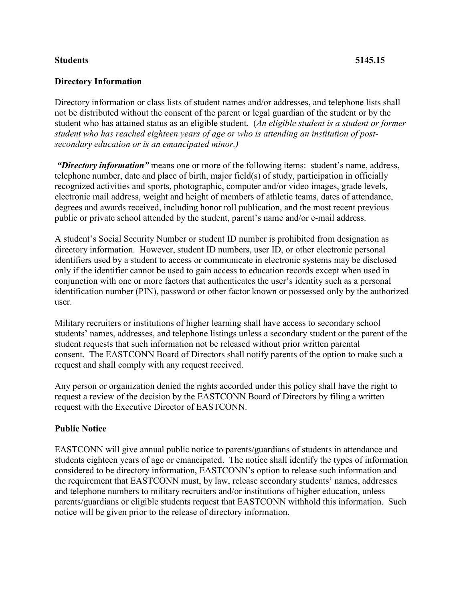## **Students 5145.15**

## **Directory Information**

Directory information or class lists of student names and/or addresses, and telephone lists shall not be distributed without the consent of the parent or legal guardian of the student or by the student who has attained status as an eligible student. (*An eligible student is a student or former student who has reached eighteen years of age or who is attending an institution of postsecondary education or is an emancipated minor.)*

*"Directory information"* means one or more of the following items: student's name, address, telephone number, date and place of birth, major field(s) of study, participation in officially recognized activities and sports, photographic, computer and/or video images, grade levels, electronic mail address, weight and height of members of athletic teams, dates of attendance, degrees and awards received, including honor roll publication, and the most recent previous public or private school attended by the student, parent's name and/or e-mail address.

A student's Social Security Number or student ID number is prohibited from designation as directory information. However, student ID numbers, user ID, or other electronic personal identifiers used by a student to access or communicate in electronic systems may be disclosed only if the identifier cannot be used to gain access to education records except when used in conjunction with one or more factors that authenticates the user's identity such as a personal identification number (PIN), password or other factor known or possessed only by the authorized user.

Military recruiters or institutions of higher learning shall have access to secondary school students' names, addresses, and telephone listings unless a secondary student or the parent of the student requests that such information not be released without prior written parental consent. The EASTCONN Board of Directors shall notify parents of the option to make such a request and shall comply with any request received.

Any person or organization denied the rights accorded under this policy shall have the right to request a review of the decision by the EASTCONN Board of Directors by filing a written request with the Executive Director of EASTCONN.

## **Public Notice**

EASTCONN will give annual public notice to parents/guardians of students in attendance and students eighteen years of age or emancipated. The notice shall identify the types of information considered to be directory information, EASTCONN's option to release such information and the requirement that EASTCONN must, by law, release secondary students' names, addresses and telephone numbers to military recruiters and/or institutions of higher education, unless parents/guardians or eligible students request that EASTCONN withhold this information. Such notice will be given prior to the release of directory information.